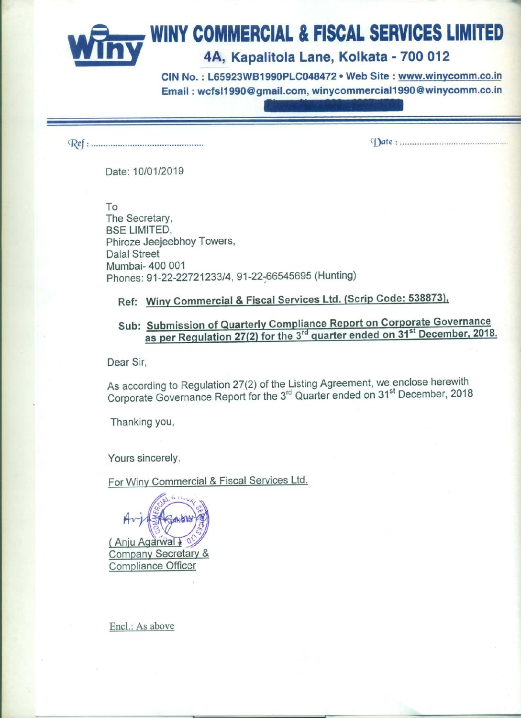# **WINY COMMERCIAL & FISCAL SERVICES LIMITED** 4A, Kapalitola Lane, Kolkata - 700 012

CIN No.: L65923WB1990PLC048472 . Web Site: www.winycomm.co.in Email: wcfsl1990@gmail.com, winycommercial1990@winycomm.co.in

Date: 10/01/2019

To The Secretary, **BSE LIMITED,** Phiroze Jeejeebhoy Towers, **Dalal Street** Mumbai- 400 001 Phones: 91-22-22721233/4, 91-22-66545695 (Hunting)

# Ref: Winy Commercial & Fiscal Services Ltd. (Scrip Code: 538873),

## Sub: Submission of Quarterly Compliance Report on Corporate Governance as per Regulation 27(2) for the 3<sup>rd</sup> quarter ended on 31<sup>st</sup> December, 2018.

Dear Sir,

As according to Regulation 27(2) of the Listing Agreement, we enclose herewith<br>Corporate Governance Report for the 3<sup>rd</sup> Quarter ended on 31<sup>st</sup> December, 2018

Thanking you,

Yours sincerely,

For Winy Commercial & Fiscal Services Ltd.



Encl.: As above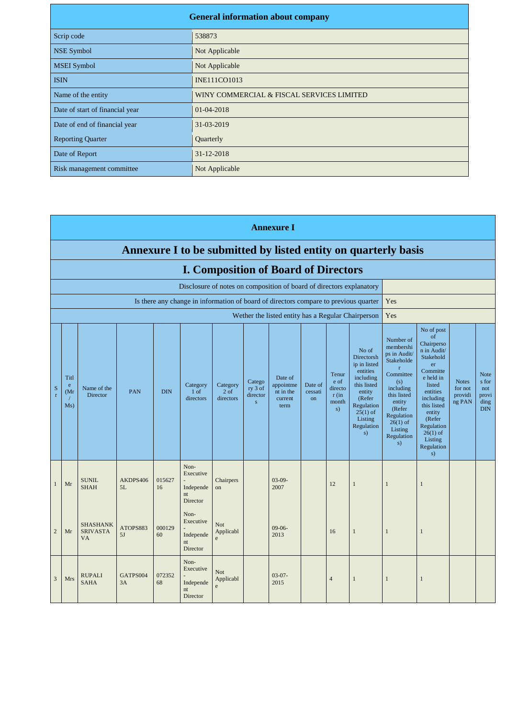| <b>General information about company</b> |                                           |  |  |  |  |  |
|------------------------------------------|-------------------------------------------|--|--|--|--|--|
| Scrip code                               | 538873                                    |  |  |  |  |  |
| <b>NSE Symbol</b>                        | Not Applicable                            |  |  |  |  |  |
| <b>MSEI</b> Symbol                       | Not Applicable                            |  |  |  |  |  |
| <b>ISIN</b>                              | <b>INE111CO1013</b>                       |  |  |  |  |  |
| Name of the entity                       | WINY COMMERCIAL & FISCAL SERVICES LIMITED |  |  |  |  |  |
| Date of start of financial year          | 01-04-2018                                |  |  |  |  |  |
| Date of end of financial year            | 31-03-2019                                |  |  |  |  |  |
| <b>Reporting Quarter</b>                 | Quarterly                                 |  |  |  |  |  |
| Date of Report                           | 31-12-2018                                |  |  |  |  |  |
| Risk management committee                | Not Applicable                            |  |  |  |  |  |

|                | <b>Annexure I</b>                                                    |                                                 |                |              |                                                  |                                          |                                               |                                                                                      |                                 |                                                    |                                                                                                                                                            |                                                                                                                                                                                                     |                                                                                                                                                                                                                            |                                              |                                                            |
|----------------|----------------------------------------------------------------------|-------------------------------------------------|----------------|--------------|--------------------------------------------------|------------------------------------------|-----------------------------------------------|--------------------------------------------------------------------------------------|---------------------------------|----------------------------------------------------|------------------------------------------------------------------------------------------------------------------------------------------------------------|-----------------------------------------------------------------------------------------------------------------------------------------------------------------------------------------------------|----------------------------------------------------------------------------------------------------------------------------------------------------------------------------------------------------------------------------|----------------------------------------------|------------------------------------------------------------|
|                | Annexure I to be submitted by listed entity on quarterly basis       |                                                 |                |              |                                                  |                                          |                                               |                                                                                      |                                 |                                                    |                                                                                                                                                            |                                                                                                                                                                                                     |                                                                                                                                                                                                                            |                                              |                                                            |
|                | <b>I. Composition of Board of Directors</b>                          |                                                 |                |              |                                                  |                                          |                                               |                                                                                      |                                 |                                                    |                                                                                                                                                            |                                                                                                                                                                                                     |                                                                                                                                                                                                                            |                                              |                                                            |
|                | Disclosure of notes on composition of board of directors explanatory |                                                 |                |              |                                                  |                                          |                                               |                                                                                      |                                 |                                                    |                                                                                                                                                            |                                                                                                                                                                                                     |                                                                                                                                                                                                                            |                                              |                                                            |
|                |                                                                      |                                                 |                |              |                                                  |                                          |                                               | Is there any change in information of board of directors compare to previous quarter |                                 |                                                    |                                                                                                                                                            | Yes                                                                                                                                                                                                 |                                                                                                                                                                                                                            |                                              |                                                            |
|                |                                                                      |                                                 |                |              |                                                  |                                          |                                               | Wether the listed entity has a Regular Chairperson                                   |                                 |                                                    |                                                                                                                                                            | Yes                                                                                                                                                                                                 |                                                                                                                                                                                                                            |                                              |                                                            |
| $\mathbf S$    | Titl<br>e<br>(Mr<br>Ms)                                              | Name of the<br>Director                         | PAN            | <b>DIN</b>   | Category<br>1 <sub>of</sub><br>directors         | Category<br>2 <sub>of</sub><br>directors | Catego<br>ry 3 of<br>director<br>$\mathbf{s}$ | Date of<br>appointme<br>nt in the<br>current<br>term                                 | Date of<br>cessati<br><b>on</b> | Tenur<br>e of<br>directo<br>$r$ (in<br>month<br>s) | No of<br>Directorsh<br>ip in listed<br>entities<br>including<br>this listed<br>entity<br>(Refer<br>Regulation<br>$25(1)$ of<br>Listing<br>Regulation<br>s) | Number of<br>membershi<br>ps in Audit/<br>Stakeholde<br>$\mathbf{r}$<br>Committee<br>(s)<br>including<br>this listed<br>entity<br>(Refer<br>Regulation<br>$26(1)$ of<br>Listing<br>Regulation<br>s) | No of post<br>of<br>Chairperso<br>n in Audit/<br>Stakehold<br>er<br>Committe<br>e held in<br>listed<br>entities<br>including<br>this listed<br>entity<br>(Refer<br>Regulation<br>$26(1)$ of<br>Listing<br>Regulation<br>s) | <b>Notes</b><br>for not<br>providi<br>ng PAN | <b>Note</b><br>s for<br>not<br>provi<br>ding<br><b>DIN</b> |
| $\mathbf{1}$   | Mr                                                                   | <b>SUNIL</b><br><b>SHAH</b>                     | AKDPS406<br>5L | 015627<br>16 | Non-<br>Executive<br>Independe<br>nt<br>Director | Chairpers<br>on                          |                                               | $03-09-$<br>2007                                                                     |                                 | 12                                                 | $\mathbf{1}$                                                                                                                                               | 1                                                                                                                                                                                                   | 1                                                                                                                                                                                                                          |                                              |                                                            |
| $\overline{2}$ | Mr                                                                   | <b>SHASHANK</b><br><b>SRIVASTA</b><br><b>VA</b> | ATOPS883<br>5J | 000129<br>60 | Non-<br>Executive<br>Independe<br>nt<br>Director | Not<br>Applicabl<br>e                    |                                               | $09-06-$<br>2013                                                                     |                                 | 16                                                 | $\mathbf{1}$                                                                                                                                               | 1                                                                                                                                                                                                   | -1                                                                                                                                                                                                                         |                                              |                                                            |
|                |                                                                      |                                                 |                |              | Non-<br>Executive                                | N <sub>of</sub>                          |                                               |                                                                                      |                                 |                                                    |                                                                                                                                                            |                                                                                                                                                                                                     |                                                                                                                                                                                                                            |                                              |                                                            |

 $\begin{bmatrix} 03-07 \\ 2015 \end{bmatrix}$  4 1 1 1

 $\overline{c}$ 

3 Mrs RUPALI<br>SAHA

GATPS004 3A

072352 68

- Independe nt Director

Not Applicabl e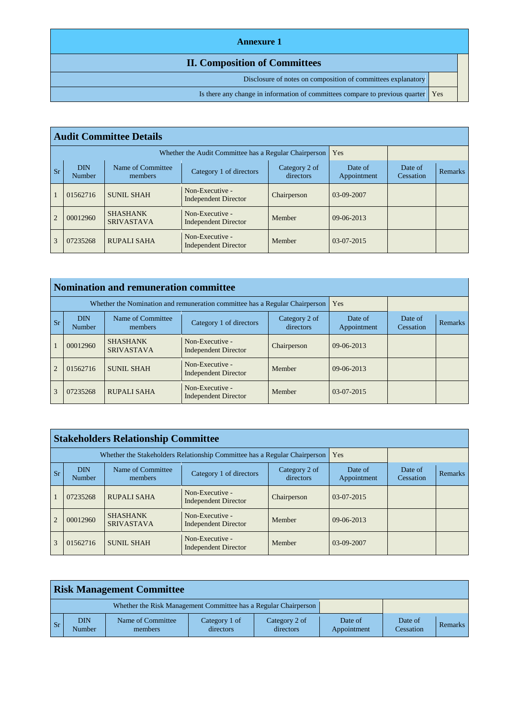#### **Annexure 1**

#### **II. Composition of Committees**

Disclosure of notes on composition of committees explanatory

Is there any change in information of committees compare to previous quarter | Yes

|                | <b>Audit Committee Details</b> |                                                       |                                                |                            |                        |                      |                |  |  |  |  |
|----------------|--------------------------------|-------------------------------------------------------|------------------------------------------------|----------------------------|------------------------|----------------------|----------------|--|--|--|--|
|                |                                | Whether the Audit Committee has a Regular Chairperson | Yes                                            |                            |                        |                      |                |  |  |  |  |
| <b>Sr</b>      | <b>DIN</b><br>Number           | Name of Committee<br>members                          | Category 1 of directors                        | Category 2 of<br>directors | Date of<br>Appointment | Date of<br>Cessation | <b>Remarks</b> |  |  |  |  |
| $\mathbf{1}$   | 01562716                       | <b>SUNIL SHAH</b>                                     | Non-Executive -<br><b>Independent Director</b> | Chairperson                | $03-09-2007$           |                      |                |  |  |  |  |
| $\overline{2}$ | 00012960                       | <b>SHASHANK</b><br><b>SRIVASTAVA</b>                  | Non-Executive -<br><b>Independent Director</b> | Member                     | $09-06-2013$           |                      |                |  |  |  |  |
| 3              | 07235268                       | <b>RUPALI SAHA</b>                                    | Non-Executive -<br>Independent Director        | Member                     | 03-07-2015             |                      |                |  |  |  |  |

|                | <b>Nomination and remuneration committee</b>                                                                  |                                                                             |                                                |                        |                      |                |  |  |  |  |
|----------------|---------------------------------------------------------------------------------------------------------------|-----------------------------------------------------------------------------|------------------------------------------------|------------------------|----------------------|----------------|--|--|--|--|
|                |                                                                                                               | Whether the Nomination and remuneration committee has a Regular Chairperson | <b>Yes</b>                                     |                        |                      |                |  |  |  |  |
| <b>Sr</b>      | Name of Committee<br><b>DIN</b><br>Category 2 of<br>Category 1 of directors<br>directors<br>Number<br>members |                                                                             |                                                | Date of<br>Appointment | Date of<br>Cessation | <b>Remarks</b> |  |  |  |  |
|                | 00012960                                                                                                      | <b>SHASHANK</b><br><b>SRIVASTAVA</b>                                        | Non-Executive -<br><b>Independent Director</b> | Chairperson            | $09-06-2013$         |                |  |  |  |  |
| $\overline{2}$ | 01562716                                                                                                      | <b>SUNIL SHAH</b>                                                           | Non-Executive -<br><b>Independent Director</b> | Member                 | $09-06-2013$         |                |  |  |  |  |
| 3              | 07235268                                                                                                      | RUPALI SAHA                                                                 | Non-Executive -<br><b>Independent Director</b> | Member                 | $03-07-2015$         |                |  |  |  |  |

|                | <b>Stakeholders Relationship Committee</b> |                                                                           |                                                |                            |                        |                      |         |  |  |  |  |
|----------------|--------------------------------------------|---------------------------------------------------------------------------|------------------------------------------------|----------------------------|------------------------|----------------------|---------|--|--|--|--|
|                |                                            | Whether the Stakeholders Relationship Committee has a Regular Chairperson | <b>Yes</b>                                     |                            |                        |                      |         |  |  |  |  |
| <b>Sr</b>      | <b>DIN</b><br>Number                       | Name of Committee<br>members                                              | Category 1 of directors                        | Category 2 of<br>directors | Date of<br>Appointment | Date of<br>Cessation | Remarks |  |  |  |  |
|                | 07235268                                   | RUPALI SAHA                                                               | Non-Executive -<br><b>Independent Director</b> | Chairperson                | $03-07-2015$           |                      |         |  |  |  |  |
| $\overline{2}$ | 00012960                                   | <b>SHASHANK</b><br><b>SRIVASTAVA</b>                                      | Non-Executive -<br><b>Independent Director</b> | Member                     | $09-06-2013$           |                      |         |  |  |  |  |
| $\mathcal{R}$  | 01562716                                   | <b>SUNIL SHAH</b>                                                         | Non-Executive -<br><b>Independent Director</b> | Member                     | $03-09-2007$           |                      |         |  |  |  |  |

|           | <b>Risk Management Committee</b> |                                                                 |                            |                            |                        |                      |         |  |  |
|-----------|----------------------------------|-----------------------------------------------------------------|----------------------------|----------------------------|------------------------|----------------------|---------|--|--|
|           |                                  | Whether the Risk Management Committee has a Regular Chairperson |                            |                            |                        |                      |         |  |  |
| <b>Sr</b> | DIN<br>Number                    | Name of Committee<br>members                                    | Category 1 of<br>directors | Category 2 of<br>directors | Date of<br>Appointment | Date of<br>Cessation | Remarks |  |  |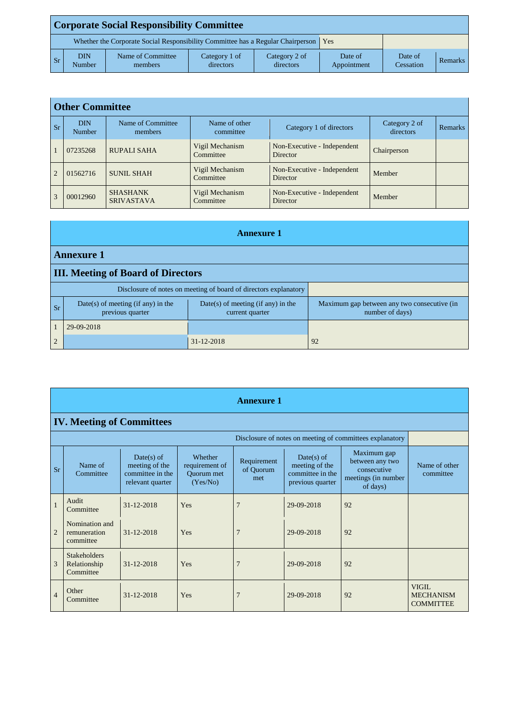|       | <b>Corporate Social Responsibility Committee</b>                                              |                              |                            |                            |                        |                      |         |  |  |  |
|-------|-----------------------------------------------------------------------------------------------|------------------------------|----------------------------|----------------------------|------------------------|----------------------|---------|--|--|--|
|       | Whether the Corporate Social Responsibility Committee has a Regular Chairperson<br><b>Yes</b> |                              |                            |                            |                        |                      |         |  |  |  |
| $S_r$ | <b>DIN</b><br>Number                                                                          | Name of Committee<br>members | Category 1 of<br>directors | Category 2 of<br>directors | Date of<br>Appointment | Date of<br>Cessation | Remarks |  |  |  |

|                | <b>Other Committee</b> |                                      |                              |                                         |                            |                |  |  |  |  |  |  |
|----------------|------------------------|--------------------------------------|------------------------------|-----------------------------------------|----------------------------|----------------|--|--|--|--|--|--|
| <b>Sr</b>      | <b>DIN</b><br>Number   | Name of Committee<br>members         | Name of other<br>committee   | Category 1 of directors                 | Category 2 of<br>directors | <b>Remarks</b> |  |  |  |  |  |  |
|                | 07235268               | <b>RUPALI SAHA</b>                   | Vigil Mechanism<br>Committee | Non-Executive - Independent<br>Director | Chairperson                |                |  |  |  |  |  |  |
| $\overline{2}$ | 01562716               | <b>SUNIL SHAH</b>                    | Vigil Mechanism<br>Committee | Non-Executive - Independent<br>Director | Member                     |                |  |  |  |  |  |  |
| 3              | 00012960               | <b>SHASHANK</b><br><b>SRIVASTAVA</b> | Vigil Mechanism<br>Committee | Non-Executive - Independent<br>Director | Member                     |                |  |  |  |  |  |  |

|                | <b>Annexure 1</b>                                        |                                                                  |                                                                |  |  |  |  |  |
|----------------|----------------------------------------------------------|------------------------------------------------------------------|----------------------------------------------------------------|--|--|--|--|--|
|                | <b>Annexure 1</b>                                        |                                                                  |                                                                |  |  |  |  |  |
|                | <b>III.</b> Meeting of Board of Directors                |                                                                  |                                                                |  |  |  |  |  |
|                |                                                          | Disclosure of notes on meeting of board of directors explanatory |                                                                |  |  |  |  |  |
| <b>Sr</b>      | $Date(s)$ of meeting (if any) in the<br>previous quarter | $Date(s)$ of meeting (if any) in the<br>current quarter          | Maximum gap between any two consecutive (in<br>number of days) |  |  |  |  |  |
|                | 29-09-2018                                               |                                                                  |                                                                |  |  |  |  |  |
| $\overline{2}$ |                                                          | $31 - 12 - 2018$                                                 | 92                                                             |  |  |  |  |  |

|                | <b>Annexure 1</b>                                        |                                                                        |                                                     |                                 |                                                                        |                                                                                  |                                                      |  |  |  |  |
|----------------|----------------------------------------------------------|------------------------------------------------------------------------|-----------------------------------------------------|---------------------------------|------------------------------------------------------------------------|----------------------------------------------------------------------------------|------------------------------------------------------|--|--|--|--|
|                | <b>IV. Meeting of Committees</b>                         |                                                                        |                                                     |                                 |                                                                        |                                                                                  |                                                      |  |  |  |  |
|                | Disclosure of notes on meeting of committees explanatory |                                                                        |                                                     |                                 |                                                                        |                                                                                  |                                                      |  |  |  |  |
| <b>Sr</b>      | Name of<br>Committee                                     | $Date(s)$ of<br>meeting of the<br>committee in the<br>relevant quarter | Whether<br>requirement of<br>Quorum met<br>(Yes/No) | Requirement<br>of Quorum<br>met | $Date(s)$ of<br>meeting of the<br>committee in the<br>previous quarter | Maximum gap<br>between any two<br>consecutive<br>meetings (in number<br>of days) | Name of other<br>committee                           |  |  |  |  |
| $\mathbf{1}$   | Audit<br>Committee                                       | 31-12-2018                                                             | Yes                                                 | 7                               | 29-09-2018                                                             | 92                                                                               |                                                      |  |  |  |  |
| $\overline{2}$ | Nomination and<br>remuneration<br>committee              | $31 - 12 - 2018$                                                       | Yes                                                 |                                 | 29-09-2018                                                             | 92                                                                               |                                                      |  |  |  |  |
| 3              | <b>Stakeholders</b><br>Relationship<br>Committee         | $31 - 12 - 2018$                                                       | Yes                                                 |                                 | 29-09-2018                                                             | 92                                                                               |                                                      |  |  |  |  |
| $\overline{4}$ | Other<br>Committee                                       | $31 - 12 - 2018$                                                       | Yes                                                 | 7                               | 29-09-2018                                                             | 92                                                                               | <b>VIGIL</b><br><b>MECHANISM</b><br><b>COMMITTEE</b> |  |  |  |  |